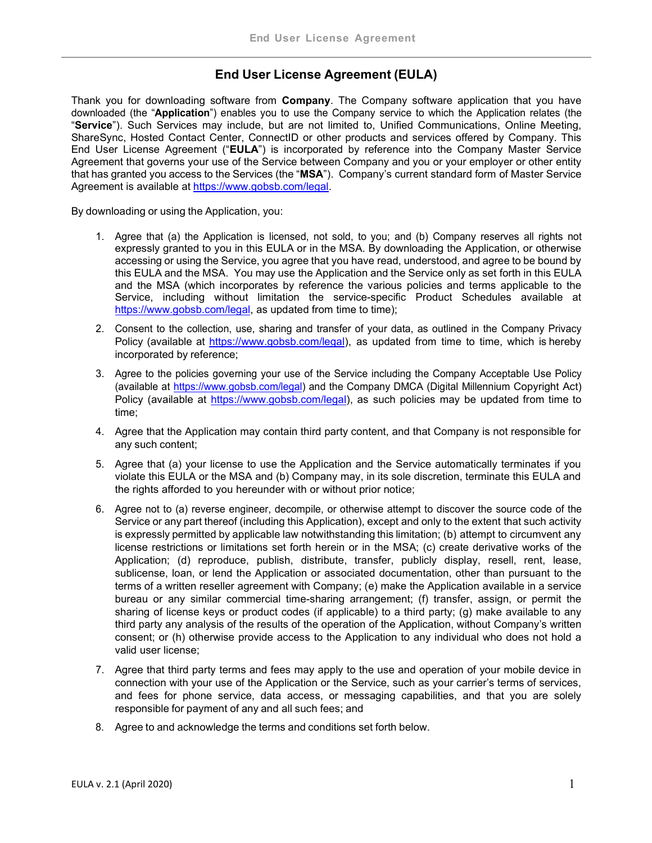## End User License Agreement (EULA)

Thank you for downloading software from **Company**. The Company software application that you have downloaded (the "Application") enables you to use the Company service to which the Application relates (the "Service"). Such Services may include, but are not limited to, Unified Communications, Online Meeting, ShareSync, Hosted Contact Center, ConnectID or other products and services offered by Company. This End User License Agreement ("EULA") is incorporated by reference into the Company Master Service Agreement that governs your use of the Service between Company and you or your employer or other entity that has granted you access to the Services (the "MSA"). Company's current standard form of Master Service Agreement is available at https://www.gobsb.com/legal.

By downloading or using the Application, you:

- 1. Agree that (a) the Application is licensed, not sold, to you; and (b) Company reserves all rights not expressly granted to you in this EULA or in the MSA. By downloading the Application, or otherwise accessing or using the Service, you agree that you have read, understood, and agree to be bound by this EULA and the MSA. You may use the Application and the Service only as set forth in this EULA and the MSA (which incorporates by reference the various policies and terms applicable to the Service, including without limitation the service-specific Product Schedules available at https://www.gobsb.com/legal, as updated from time to time);
- 2. Consent to the collection, use, sharing and transfer of your data, as outlined in the Company Privacy Policy (available at https://www.gobsb.com/legal), as updated from time to time, which is hereby incorporated by reference;
- 3. Agree to the policies governing your use of the Service including the Company Acceptable Use Policy (available at https://www.gobsb.com/legal) and the Company DMCA (Digital Millennium Copyright Act) Policy (available at https://www.gobsb.com/legal), as such policies may be updated from time to time;
- 4. Agree that the Application may contain third party content, and that Company is not responsible for any such content;
- 5. Agree that (a) your license to use the Application and the Service automatically terminates if you violate this EULA or the MSA and (b) Company may, in its sole discretion, terminate this EULA and the rights afforded to you hereunder with or without prior notice;
- 6. Agree not to (a) reverse engineer, decompile, or otherwise attempt to discover the source code of the Service or any part thereof (including this Application), except and only to the extent that such activity is expressly permitted by applicable law notwithstanding this limitation; (b) attempt to circumvent any license restrictions or limitations set forth herein or in the MSA; (c) create derivative works of the Application; (d) reproduce, publish, distribute, transfer, publicly display, resell, rent, lease, sublicense, loan, or lend the Application or associated documentation, other than pursuant to the terms of a written reseller agreement with Company; (e) make the Application available in a service bureau or any similar commercial time-sharing arrangement; (f) transfer, assign, or permit the sharing of license keys or product codes (if applicable) to a third party; (g) make available to any third party any analysis of the results of the operation of the Application, without Company's written consent; or (h) otherwise provide access to the Application to any individual who does not hold a valid user license;
- 7. Agree that third party terms and fees may apply to the use and operation of your mobile device in connection with your use of the Application or the Service, such as your carrier's terms of services, and fees for phone service, data access, or messaging capabilities, and that you are solely responsible for payment of any and all such fees; and
- 8. Agree to and acknowledge the terms and conditions set forth below.